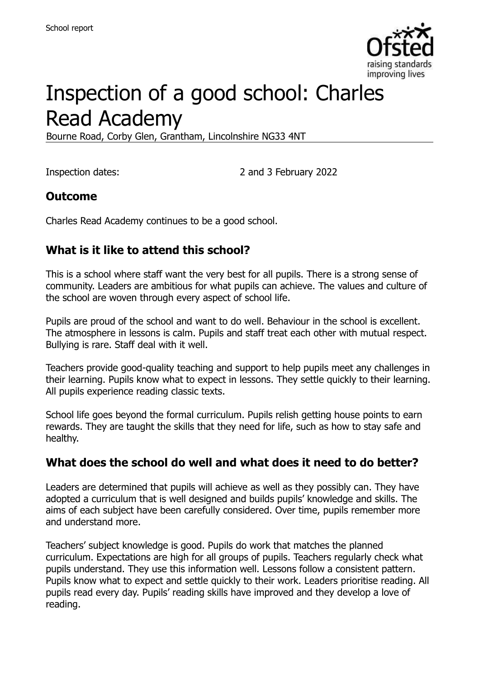

# Inspection of a good school: Charles Read Academy

Bourne Road, Corby Glen, Grantham, Lincolnshire NG33 4NT

Inspection dates: 2 and 3 February 2022

#### **Outcome**

Charles Read Academy continues to be a good school.

### **What is it like to attend this school?**

This is a school where staff want the very best for all pupils. There is a strong sense of community. Leaders are ambitious for what pupils can achieve. The values and culture of the school are woven through every aspect of school life.

Pupils are proud of the school and want to do well. Behaviour in the school is excellent. The atmosphere in lessons is calm. Pupils and staff treat each other with mutual respect. Bullying is rare. Staff deal with it well.

Teachers provide good-quality teaching and support to help pupils meet any challenges in their learning. Pupils know what to expect in lessons. They settle quickly to their learning. All pupils experience reading classic texts.

School life goes beyond the formal curriculum. Pupils relish getting house points to earn rewards. They are taught the skills that they need for life, such as how to stay safe and healthy.

#### **What does the school do well and what does it need to do better?**

Leaders are determined that pupils will achieve as well as they possibly can. They have adopted a curriculum that is well designed and builds pupils' knowledge and skills. The aims of each subject have been carefully considered. Over time, pupils remember more and understand more.

Teachers' subject knowledge is good. Pupils do work that matches the planned curriculum. Expectations are high for all groups of pupils. Teachers regularly check what pupils understand. They use this information well. Lessons follow a consistent pattern. Pupils know what to expect and settle quickly to their work. Leaders prioritise reading. All pupils read every day. Pupils' reading skills have improved and they develop a love of reading.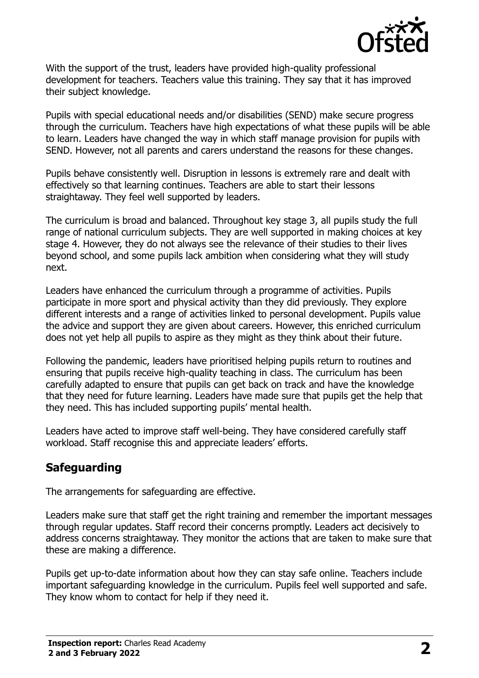

With the support of the trust, leaders have provided high-quality professional development for teachers. Teachers value this training. They say that it has improved their subject knowledge.

Pupils with special educational needs and/or disabilities (SEND) make secure progress through the curriculum. Teachers have high expectations of what these pupils will be able to learn. Leaders have changed the way in which staff manage provision for pupils with SEND. However, not all parents and carers understand the reasons for these changes.

Pupils behave consistently well. Disruption in lessons is extremely rare and dealt with effectively so that learning continues. Teachers are able to start their lessons straightaway. They feel well supported by leaders.

The curriculum is broad and balanced. Throughout key stage 3, all pupils study the full range of national curriculum subjects. They are well supported in making choices at key stage 4. However, they do not always see the relevance of their studies to their lives beyond school, and some pupils lack ambition when considering what they will study next.

Leaders have enhanced the curriculum through a programme of activities. Pupils participate in more sport and physical activity than they did previously. They explore different interests and a range of activities linked to personal development. Pupils value the advice and support they are given about careers. However, this enriched curriculum does not yet help all pupils to aspire as they might as they think about their future.

Following the pandemic, leaders have prioritised helping pupils return to routines and ensuring that pupils receive high-quality teaching in class. The curriculum has been carefully adapted to ensure that pupils can get back on track and have the knowledge that they need for future learning. Leaders have made sure that pupils get the help that they need. This has included supporting pupils' mental health.

Leaders have acted to improve staff well-being. They have considered carefully staff workload. Staff recognise this and appreciate leaders' efforts.

# **Safeguarding**

The arrangements for safeguarding are effective.

Leaders make sure that staff get the right training and remember the important messages through regular updates. Staff record their concerns promptly. Leaders act decisively to address concerns straightaway. They monitor the actions that are taken to make sure that these are making a difference.

Pupils get up-to-date information about how they can stay safe online. Teachers include important safeguarding knowledge in the curriculum. Pupils feel well supported and safe. They know whom to contact for help if they need it.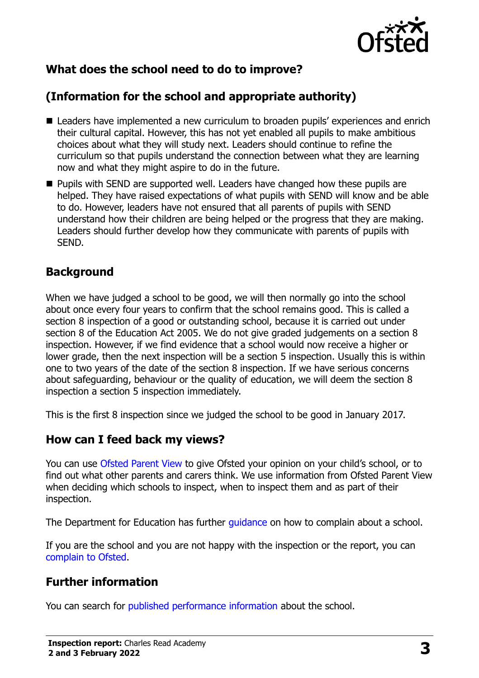

# **What does the school need to do to improve?**

# **(Information for the school and appropriate authority)**

- Leaders have implemented a new curriculum to broaden pupils' experiences and enrich their cultural capital. However, this has not yet enabled all pupils to make ambitious choices about what they will study next. Leaders should continue to refine the curriculum so that pupils understand the connection between what they are learning now and what they might aspire to do in the future.
- **Pupils with SEND are supported well. Leaders have changed how these pupils are** helped. They have raised expectations of what pupils with SEND will know and be able to do. However, leaders have not ensured that all parents of pupils with SEND understand how their children are being helped or the progress that they are making. Leaders should further develop how they communicate with parents of pupils with SEND.

#### **Background**

When we have judged a school to be good, we will then normally go into the school about once every four years to confirm that the school remains good. This is called a section 8 inspection of a good or outstanding school, because it is carried out under section 8 of the Education Act 2005. We do not give graded judgements on a section 8 inspection. However, if we find evidence that a school would now receive a higher or lower grade, then the next inspection will be a section 5 inspection. Usually this is within one to two years of the date of the section 8 inspection. If we have serious concerns about safeguarding, behaviour or the quality of education, we will deem the section 8 inspection a section 5 inspection immediately.

This is the first 8 inspection since we judged the school to be good in January 2017.

#### **How can I feed back my views?**

You can use [Ofsted Parent View](https://parentview.ofsted.gov.uk/) to give Ofsted your opinion on your child's school, or to find out what other parents and carers think. We use information from Ofsted Parent View when deciding which schools to inspect, when to inspect them and as part of their inspection.

The Department for Education has further *guidance* on how to complain about a school.

If you are the school and you are not happy with the inspection or the report, you can [complain to Ofsted.](https://www.gov.uk/complain-ofsted-report)

# **Further information**

You can search for [published performance information](http://www.compare-school-performance.service.gov.uk/) about the school.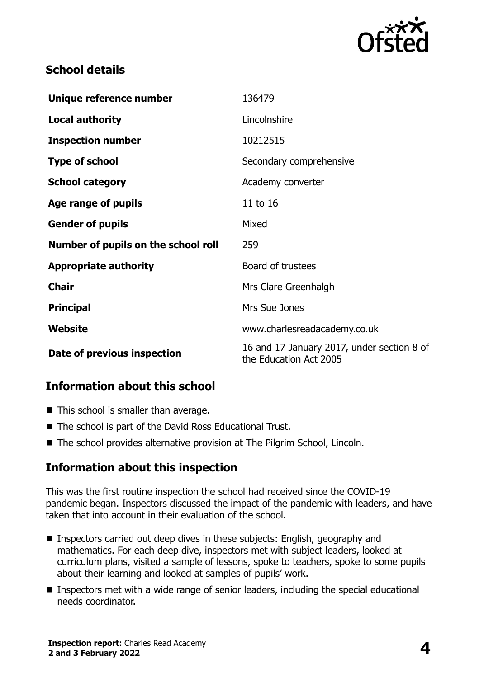

## **School details**

| Unique reference number             | 136479                                                               |
|-------------------------------------|----------------------------------------------------------------------|
| <b>Local authority</b>              | Lincolnshire                                                         |
| <b>Inspection number</b>            | 10212515                                                             |
| <b>Type of school</b>               | Secondary comprehensive                                              |
| <b>School category</b>              | Academy converter                                                    |
| Age range of pupils                 | 11 to 16                                                             |
| <b>Gender of pupils</b>             | Mixed                                                                |
| Number of pupils on the school roll | 259                                                                  |
| <b>Appropriate authority</b>        | Board of trustees                                                    |
| <b>Chair</b>                        | Mrs Clare Greenhalgh                                                 |
| <b>Principal</b>                    | Mrs Sue Jones                                                        |
| Website                             | www.charlesreadacademy.co.uk                                         |
| Date of previous inspection         | 16 and 17 January 2017, under section 8 of<br>the Education Act 2005 |

#### **Information about this school**

- This school is smaller than average.
- The school is part of the David Ross Educational Trust.
- The school provides alternative provision at The Pilgrim School, Lincoln.

#### **Information about this inspection**

This was the first routine inspection the school had received since the COVID-19 pandemic began. Inspectors discussed the impact of the pandemic with leaders, and have taken that into account in their evaluation of the school.

- Inspectors carried out deep dives in these subjects: English, geography and mathematics. For each deep dive, inspectors met with subject leaders, looked at curriculum plans, visited a sample of lessons, spoke to teachers, spoke to some pupils about their learning and looked at samples of pupils' work.
- Inspectors met with a wide range of senior leaders, including the special educational needs coordinator.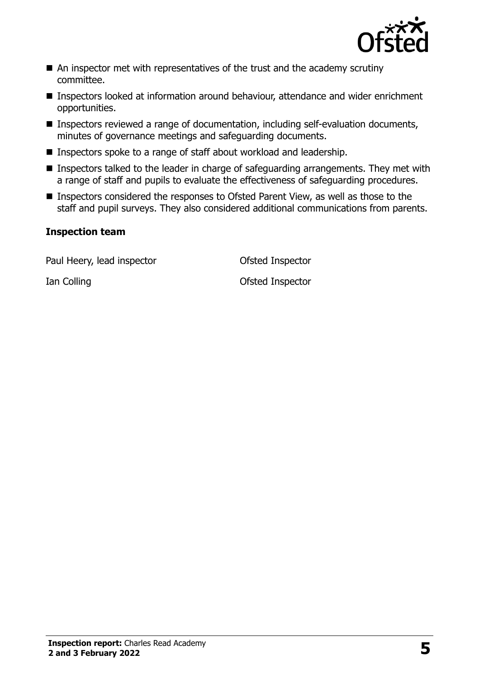

- An inspector met with representatives of the trust and the academy scrutiny committee.
- Inspectors looked at information around behaviour, attendance and wider enrichment opportunities.
- Inspectors reviewed a range of documentation, including self-evaluation documents, minutes of governance meetings and safeguarding documents.
- Inspectors spoke to a range of staff about workload and leadership.
- **Inspectors talked to the leader in charge of safeguarding arrangements. They met with** a range of staff and pupils to evaluate the effectiveness of safeguarding procedures.
- Inspectors considered the responses to Ofsted Parent View, as well as those to the staff and pupil surveys. They also considered additional communications from parents.

#### **Inspection team**

Paul Heery, lead inspector **CERC CONTER CONTER** Ofsted Inspector

Ian Colling Colling Contract Contract Contract Contract Contract Contract Contract Contract Contract Contract Contract Contract Contract Contract Contract Contract Contract Contract Contract Contract Contract Contract Cont